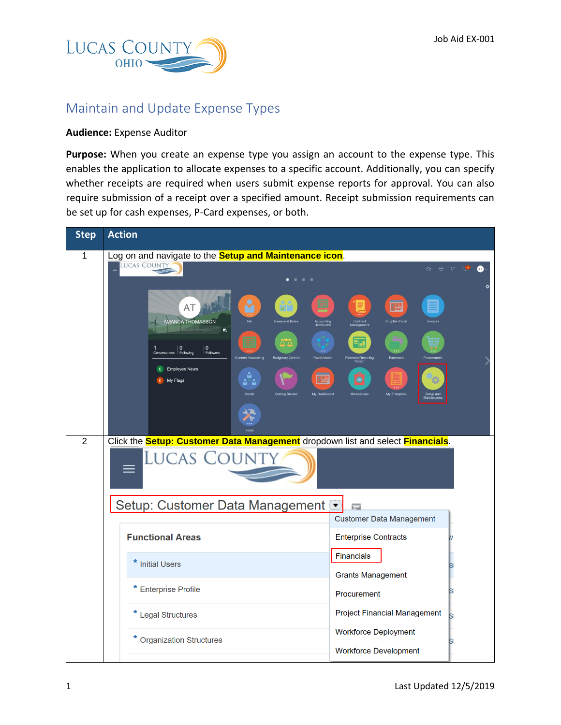

## Maintain and Update Expense Types

## **Audience:** Expense Auditor

**Purpose:** When you create an expense type you assign an account to the expense type. This enables the application to allocate expenses to a specific account. Additionally, you can specify whether receipts are required when users submit expense reports for approval. You can also require submission of a receipt over a specified amount. Receipt submission requirements can be set up for cash expenses, P-Card expenses, or both.

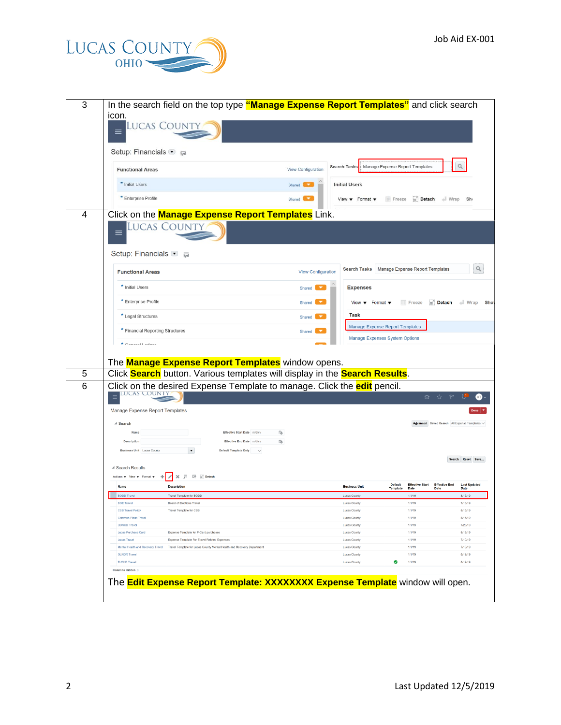

| 3      | In the search field on the top type "Manage Expense Report Templates" and click search<br>icon.                                                                                 |                           |                                                       |                                                                          |                                |                              |                                               |
|--------|---------------------------------------------------------------------------------------------------------------------------------------------------------------------------------|---------------------------|-------------------------------------------------------|--------------------------------------------------------------------------|--------------------------------|------------------------------|-----------------------------------------------|
|        | Lucas Count<br>$\equiv$                                                                                                                                                         |                           |                                                       |                                                                          |                                |                              |                                               |
|        | Setup: Financials ● ■                                                                                                                                                           |                           |                                                       |                                                                          |                                |                              |                                               |
|        | <b>Functional Areas</b>                                                                                                                                                         | View Configuration        | <b>Search Tasks</b>                                   | Manage Expense Report Templates                                          |                                |                              | Q                                             |
|        | * Initial Users                                                                                                                                                                 | Shared                    | <b>Initial Users</b>                                  |                                                                          |                                |                              |                                               |
|        | * Enterprise Profile                                                                                                                                                            | Shared                    | View $\bullet$ Format $\bullet$                       | Freeze                                                                   |                                | Detach + Wrap                | Sho                                           |
| 4      | Click on the <b>Manage Expense Report Templates</b> Link.                                                                                                                       |                           |                                                       |                                                                          |                                |                              |                                               |
|        | <b>LUCAS COUNTY</b>                                                                                                                                                             |                           |                                                       |                                                                          |                                |                              |                                               |
|        | Setup: Financials • F                                                                                                                                                           |                           |                                                       |                                                                          |                                |                              |                                               |
|        | <b>Functional Areas</b>                                                                                                                                                         | <b>View Configuration</b> | Search Tasks   Manage Expense Report Templates        |                                                                          |                                |                              |                                               |
|        | * Initial Users                                                                                                                                                                 | Shared                    | <b>Expenses</b>                                       |                                                                          |                                |                              |                                               |
|        | * Enterprise Profile                                                                                                                                                            | Shared I                  | View $\blacktriangledown$ Format $\blacktriangledown$ |                                                                          |                                |                              | Freeze <b>Freeze Detach</b> I Wrap Show       |
|        | * Legal Structures                                                                                                                                                              | Shared                    | Task                                                  |                                                                          |                                |                              |                                               |
|        | * Financial Reporting Structures                                                                                                                                                | Shared                    |                                                       | Manage Expense Report Templates<br><b>Manage Expenses System Options</b> |                                |                              |                                               |
|        | $\star$ Canaral Ladone                                                                                                                                                          |                           |                                                       |                                                                          |                                |                              |                                               |
|        | The <b>Manage Expense Report Templates</b> window opens.                                                                                                                        |                           |                                                       |                                                                          |                                |                              |                                               |
| 5<br>6 | Click Search button. Various templates will display in the Search Results.                                                                                                      |                           |                                                       |                                                                          |                                |                              |                                               |
|        | Click on the desired Expense Template to manage. Click the <b>edit</b> pencil.<br>lucas Count                                                                                   |                           |                                                       |                                                                          | m                              |                              |                                               |
|        | Manage Expense Report Templates                                                                                                                                                 |                           |                                                       |                                                                          |                                |                              |                                               |
|        | ⊿ Search<br>Name<br>Effective Start Date m/d/yy                                                                                                                                 |                           |                                                       |                                                                          |                                |                              | Advanced Saved Search All Expense Templates V |
|        | Effective End Date midlyy<br><b>Description</b>                                                                                                                                 | 陷<br>ũ.                   |                                                       |                                                                          |                                |                              |                                               |
|        | Business Unit Lucas County<br>Default Template Only<br>$\sim$                                                                                                                   |                           |                                                       |                                                                          |                                |                              |                                               |
|        |                                                                                                                                                                                 |                           |                                                       |                                                                          |                                |                              | Search Reset Save                             |
|        |                                                                                                                                                                                 |                           |                                                       |                                                                          |                                |                              |                                               |
|        | ▲ Search Results<br>※ 罪 評 m Detach<br>$\mathscr{S}$<br>Actions $\blacktriangledown$ View $\blacktriangledown$ Format $\blacktriangledown$                                       |                           |                                                       |                                                                          |                                |                              |                                               |
|        | Name<br><b>Description</b>                                                                                                                                                      |                           | <b>Business Unit</b>                                  | <b>Default</b><br><b>Template</b>                                        | <b>Effective Start</b><br>Date | <b>Effective End</b><br>Date | <b>Last Updated</b><br>Date                   |
|        | <b>BODD Travel</b><br>Travel Template for BODD                                                                                                                                  |                           | <b>Lucas County</b>                                   |                                                                          | 1/1/19                         |                              | 8/15/19                                       |
|        | <b>BOE Travel</b><br>Board of Elections Travel<br><b>CSB Travel Policy</b>                                                                                                      |                           | <b>Lucas County</b>                                   |                                                                          | 1/1/19<br>1/1/19               |                              | 7/10/19<br>8/15/19                            |
|        | Travel Template for CSB<br>Common Pleas Travel                                                                                                                                  |                           | Lucas County<br>Lucas County                          |                                                                          | 1/1/19                         |                              | 8/15/19                                       |
|        | <b>LSWCD Travel</b>                                                                                                                                                             |                           | Lucas County                                          |                                                                          | 1/1/19                         |                              | 7/29/19                                       |
|        | Lucas Purchase Card<br>Expense Template for P-Card purchases                                                                                                                    |                           | Lucas County                                          |                                                                          | 1/1/19                         |                              | 8/19/19                                       |
|        | Expense Template For Travel Related Expenses<br><b>Lucas Travel</b><br>Mental Health and Recovery Travel Travel Template for Lucas County Mental Health and Recovery Department |                           | <b>Lucas County</b>                                   |                                                                          | 1/1/19<br>1/1/19               |                              | 7/10/19<br>7/10/19                            |
|        | <b>OLNDR Travel</b>                                                                                                                                                             |                           | <b>Lucas County</b><br>Lucas County                   |                                                                          | 1/1/19                         |                              | 8/19/19                                       |
|        | <b>TLCHD Travel</b>                                                                                                                                                             |                           | Lucas County                                          | Ø                                                                        | 1/1/19                         |                              | 8/19/19                                       |
|        | Columns Hidden 3                                                                                                                                                                |                           |                                                       |                                                                          |                                |                              |                                               |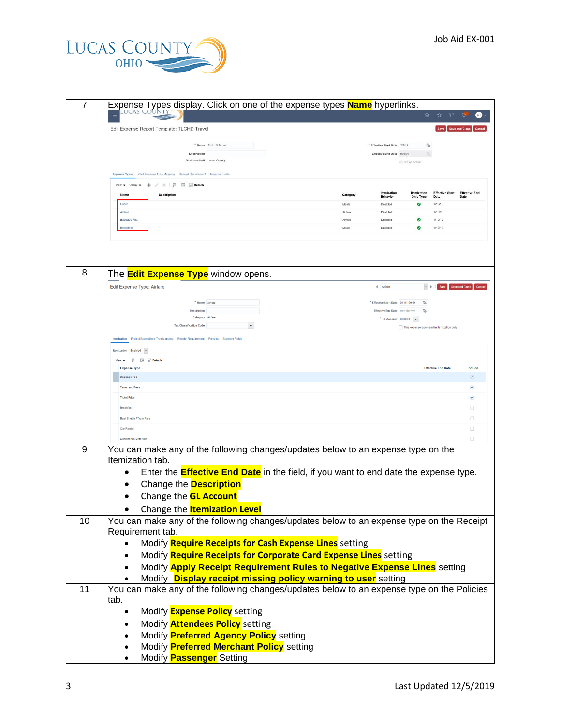

| 命<br><b>AT</b><br>Edit Expense Report Template: TLCHD Travel<br>Save and Close<br>G<br>* Name TLCHD Travel<br>* Effective Start Date 1/1/19<br>Effective End Date m/d/yy<br>Description<br><b>Business Unit Lucas County</b><br>U Set as defaul<br>Expense Types Card Expense Type Mapping Receipt Requirement Expense Fields<br>View ▼ Format ▼ → / ※   罪 評 Metach<br><b>Effective Start Effective End</b><br>Itemization<br>Itemization<br><b>Description</b><br>Nam<br>Category<br>Date<br><b>Behavior</b><br>Only Type<br>Date<br>Lunch<br>Θ<br>1/19/19<br>Meals<br>Disabled<br>Airfare<br>1/1/19<br>Airfare<br>Disabled<br>Baggage Fee<br>1/19/19<br>Airfare<br>Disabled<br>Θ<br>1/19/19<br><b>Rreakfast</b><br>Meals<br>Disabled<br>8<br>The <b>Edit Expense Type</b> window opens.<br><b>Edit Expense Type: Airfare</b><br>$\vee$ $\,$ $\,$ $\,$ $\,$ $\,$<br>Save Save and Close Cancel<br>4 Airfare<br>" Name Airfare<br>Effective Start Date 01-01-2019<br>6à<br>Effective End Date mm-dd-ww<br><b>Description</b><br>ũà<br>Category Airfan<br>$^{\bullet}$ GL Account 000000 $\bullet$<br><b>Tax Classification Code</b><br>This expense type used in itemization only<br>Itemization Project Expenditure Type Mapping Receipt Requirement Policies Expense Fields<br>Itemization Enabled ~<br>View ▼ 四 四 全 Detach<br><b>Expense Type</b><br><b>Effective End Date</b><br>Include<br><b>Baggage Fee</b><br><b>Taxes and Fees</b><br>✓<br><b>Ticket Price</b><br>ᢦ<br>Breakfast<br>0<br>Bus/Shuttle / Train Fare<br>0<br>Car Rental<br>0<br>0<br><b>Conference Materials</b><br>You can make any of the following changes/updates below to an expense type on the<br>9<br>Itemization tab.<br>Enter the <b>Effective End Date</b> in the field, if you want to end date the expense type.<br>Change the <b>Description</b><br>Change the <b>GL Account</b><br>Change the <b>Itemization Level</b><br>You can make any of the following changes/updates below to an expense type on the Receipt<br>10<br>Requirement tab.<br>Modify Require Receipts for Cash Expense Lines setting<br>Modify Require Receipts for Corporate Card Expense Lines setting<br>$\bullet$<br>Modify Apply Receipt Requirement Rules to Negative Expense Lines setting<br>Modify <b>Display receipt missing policy warning to user</b> setting<br>11<br>You can make any of the following changes/updates below to an expense type on the Policies<br>tab.<br>Modify <b>Expense Policy</b> setting<br>Modify <b>Attendees Policy</b> setting<br>Modify Preferred Agency Policy setting<br>$\bullet$<br>Modify Preferred Merchant Policy setting<br>$\bullet$<br>Modify <b>Passenger</b> Setting<br>$\bullet$ | 7 | Expense Types display. Click on one of the expense types <b>Name</b> hyperlinks. |  |  |  |
|-------------------------------------------------------------------------------------------------------------------------------------------------------------------------------------------------------------------------------------------------------------------------------------------------------------------------------------------------------------------------------------------------------------------------------------------------------------------------------------------------------------------------------------------------------------------------------------------------------------------------------------------------------------------------------------------------------------------------------------------------------------------------------------------------------------------------------------------------------------------------------------------------------------------------------------------------------------------------------------------------------------------------------------------------------------------------------------------------------------------------------------------------------------------------------------------------------------------------------------------------------------------------------------------------------------------------------------------------------------------------------------------------------------------------------------------------------------------------------------------------------------------------------------------------------------------------------------------------------------------------------------------------------------------------------------------------------------------------------------------------------------------------------------------------------------------------------------------------------------------------------------------------------------------------------------------------------------------------------------------------------------------------------------------------------------------------------------------------------------------------------------------------------------------------------------------------------------------------------------------------------------------------------------------------------------------------------------------------------------------------------------------------------------------------------------------------------------------------------------------------------------------------------------------------------------------------------------------------------------------------------------------------------------------------------------------------|---|----------------------------------------------------------------------------------|--|--|--|
|                                                                                                                                                                                                                                                                                                                                                                                                                                                                                                                                                                                                                                                                                                                                                                                                                                                                                                                                                                                                                                                                                                                                                                                                                                                                                                                                                                                                                                                                                                                                                                                                                                                                                                                                                                                                                                                                                                                                                                                                                                                                                                                                                                                                                                                                                                                                                                                                                                                                                                                                                                                                                                                                                                 |   |                                                                                  |  |  |  |
|                                                                                                                                                                                                                                                                                                                                                                                                                                                                                                                                                                                                                                                                                                                                                                                                                                                                                                                                                                                                                                                                                                                                                                                                                                                                                                                                                                                                                                                                                                                                                                                                                                                                                                                                                                                                                                                                                                                                                                                                                                                                                                                                                                                                                                                                                                                                                                                                                                                                                                                                                                                                                                                                                                 |   |                                                                                  |  |  |  |
|                                                                                                                                                                                                                                                                                                                                                                                                                                                                                                                                                                                                                                                                                                                                                                                                                                                                                                                                                                                                                                                                                                                                                                                                                                                                                                                                                                                                                                                                                                                                                                                                                                                                                                                                                                                                                                                                                                                                                                                                                                                                                                                                                                                                                                                                                                                                                                                                                                                                                                                                                                                                                                                                                                 |   |                                                                                  |  |  |  |
|                                                                                                                                                                                                                                                                                                                                                                                                                                                                                                                                                                                                                                                                                                                                                                                                                                                                                                                                                                                                                                                                                                                                                                                                                                                                                                                                                                                                                                                                                                                                                                                                                                                                                                                                                                                                                                                                                                                                                                                                                                                                                                                                                                                                                                                                                                                                                                                                                                                                                                                                                                                                                                                                                                 |   |                                                                                  |  |  |  |
|                                                                                                                                                                                                                                                                                                                                                                                                                                                                                                                                                                                                                                                                                                                                                                                                                                                                                                                                                                                                                                                                                                                                                                                                                                                                                                                                                                                                                                                                                                                                                                                                                                                                                                                                                                                                                                                                                                                                                                                                                                                                                                                                                                                                                                                                                                                                                                                                                                                                                                                                                                                                                                                                                                 |   |                                                                                  |  |  |  |
|                                                                                                                                                                                                                                                                                                                                                                                                                                                                                                                                                                                                                                                                                                                                                                                                                                                                                                                                                                                                                                                                                                                                                                                                                                                                                                                                                                                                                                                                                                                                                                                                                                                                                                                                                                                                                                                                                                                                                                                                                                                                                                                                                                                                                                                                                                                                                                                                                                                                                                                                                                                                                                                                                                 |   |                                                                                  |  |  |  |
|                                                                                                                                                                                                                                                                                                                                                                                                                                                                                                                                                                                                                                                                                                                                                                                                                                                                                                                                                                                                                                                                                                                                                                                                                                                                                                                                                                                                                                                                                                                                                                                                                                                                                                                                                                                                                                                                                                                                                                                                                                                                                                                                                                                                                                                                                                                                                                                                                                                                                                                                                                                                                                                                                                 |   |                                                                                  |  |  |  |
|                                                                                                                                                                                                                                                                                                                                                                                                                                                                                                                                                                                                                                                                                                                                                                                                                                                                                                                                                                                                                                                                                                                                                                                                                                                                                                                                                                                                                                                                                                                                                                                                                                                                                                                                                                                                                                                                                                                                                                                                                                                                                                                                                                                                                                                                                                                                                                                                                                                                                                                                                                                                                                                                                                 |   |                                                                                  |  |  |  |
|                                                                                                                                                                                                                                                                                                                                                                                                                                                                                                                                                                                                                                                                                                                                                                                                                                                                                                                                                                                                                                                                                                                                                                                                                                                                                                                                                                                                                                                                                                                                                                                                                                                                                                                                                                                                                                                                                                                                                                                                                                                                                                                                                                                                                                                                                                                                                                                                                                                                                                                                                                                                                                                                                                 |   |                                                                                  |  |  |  |
|                                                                                                                                                                                                                                                                                                                                                                                                                                                                                                                                                                                                                                                                                                                                                                                                                                                                                                                                                                                                                                                                                                                                                                                                                                                                                                                                                                                                                                                                                                                                                                                                                                                                                                                                                                                                                                                                                                                                                                                                                                                                                                                                                                                                                                                                                                                                                                                                                                                                                                                                                                                                                                                                                                 |   |                                                                                  |  |  |  |
|                                                                                                                                                                                                                                                                                                                                                                                                                                                                                                                                                                                                                                                                                                                                                                                                                                                                                                                                                                                                                                                                                                                                                                                                                                                                                                                                                                                                                                                                                                                                                                                                                                                                                                                                                                                                                                                                                                                                                                                                                                                                                                                                                                                                                                                                                                                                                                                                                                                                                                                                                                                                                                                                                                 |   |                                                                                  |  |  |  |
|                                                                                                                                                                                                                                                                                                                                                                                                                                                                                                                                                                                                                                                                                                                                                                                                                                                                                                                                                                                                                                                                                                                                                                                                                                                                                                                                                                                                                                                                                                                                                                                                                                                                                                                                                                                                                                                                                                                                                                                                                                                                                                                                                                                                                                                                                                                                                                                                                                                                                                                                                                                                                                                                                                 |   |                                                                                  |  |  |  |
|                                                                                                                                                                                                                                                                                                                                                                                                                                                                                                                                                                                                                                                                                                                                                                                                                                                                                                                                                                                                                                                                                                                                                                                                                                                                                                                                                                                                                                                                                                                                                                                                                                                                                                                                                                                                                                                                                                                                                                                                                                                                                                                                                                                                                                                                                                                                                                                                                                                                                                                                                                                                                                                                                                 |   |                                                                                  |  |  |  |
|                                                                                                                                                                                                                                                                                                                                                                                                                                                                                                                                                                                                                                                                                                                                                                                                                                                                                                                                                                                                                                                                                                                                                                                                                                                                                                                                                                                                                                                                                                                                                                                                                                                                                                                                                                                                                                                                                                                                                                                                                                                                                                                                                                                                                                                                                                                                                                                                                                                                                                                                                                                                                                                                                                 |   |                                                                                  |  |  |  |
|                                                                                                                                                                                                                                                                                                                                                                                                                                                                                                                                                                                                                                                                                                                                                                                                                                                                                                                                                                                                                                                                                                                                                                                                                                                                                                                                                                                                                                                                                                                                                                                                                                                                                                                                                                                                                                                                                                                                                                                                                                                                                                                                                                                                                                                                                                                                                                                                                                                                                                                                                                                                                                                                                                 |   |                                                                                  |  |  |  |
|                                                                                                                                                                                                                                                                                                                                                                                                                                                                                                                                                                                                                                                                                                                                                                                                                                                                                                                                                                                                                                                                                                                                                                                                                                                                                                                                                                                                                                                                                                                                                                                                                                                                                                                                                                                                                                                                                                                                                                                                                                                                                                                                                                                                                                                                                                                                                                                                                                                                                                                                                                                                                                                                                                 |   |                                                                                  |  |  |  |
|                                                                                                                                                                                                                                                                                                                                                                                                                                                                                                                                                                                                                                                                                                                                                                                                                                                                                                                                                                                                                                                                                                                                                                                                                                                                                                                                                                                                                                                                                                                                                                                                                                                                                                                                                                                                                                                                                                                                                                                                                                                                                                                                                                                                                                                                                                                                                                                                                                                                                                                                                                                                                                                                                                 |   |                                                                                  |  |  |  |
|                                                                                                                                                                                                                                                                                                                                                                                                                                                                                                                                                                                                                                                                                                                                                                                                                                                                                                                                                                                                                                                                                                                                                                                                                                                                                                                                                                                                                                                                                                                                                                                                                                                                                                                                                                                                                                                                                                                                                                                                                                                                                                                                                                                                                                                                                                                                                                                                                                                                                                                                                                                                                                                                                                 |   |                                                                                  |  |  |  |
|                                                                                                                                                                                                                                                                                                                                                                                                                                                                                                                                                                                                                                                                                                                                                                                                                                                                                                                                                                                                                                                                                                                                                                                                                                                                                                                                                                                                                                                                                                                                                                                                                                                                                                                                                                                                                                                                                                                                                                                                                                                                                                                                                                                                                                                                                                                                                                                                                                                                                                                                                                                                                                                                                                 |   |                                                                                  |  |  |  |
|                                                                                                                                                                                                                                                                                                                                                                                                                                                                                                                                                                                                                                                                                                                                                                                                                                                                                                                                                                                                                                                                                                                                                                                                                                                                                                                                                                                                                                                                                                                                                                                                                                                                                                                                                                                                                                                                                                                                                                                                                                                                                                                                                                                                                                                                                                                                                                                                                                                                                                                                                                                                                                                                                                 |   |                                                                                  |  |  |  |
|                                                                                                                                                                                                                                                                                                                                                                                                                                                                                                                                                                                                                                                                                                                                                                                                                                                                                                                                                                                                                                                                                                                                                                                                                                                                                                                                                                                                                                                                                                                                                                                                                                                                                                                                                                                                                                                                                                                                                                                                                                                                                                                                                                                                                                                                                                                                                                                                                                                                                                                                                                                                                                                                                                 |   |                                                                                  |  |  |  |
|                                                                                                                                                                                                                                                                                                                                                                                                                                                                                                                                                                                                                                                                                                                                                                                                                                                                                                                                                                                                                                                                                                                                                                                                                                                                                                                                                                                                                                                                                                                                                                                                                                                                                                                                                                                                                                                                                                                                                                                                                                                                                                                                                                                                                                                                                                                                                                                                                                                                                                                                                                                                                                                                                                 |   |                                                                                  |  |  |  |
|                                                                                                                                                                                                                                                                                                                                                                                                                                                                                                                                                                                                                                                                                                                                                                                                                                                                                                                                                                                                                                                                                                                                                                                                                                                                                                                                                                                                                                                                                                                                                                                                                                                                                                                                                                                                                                                                                                                                                                                                                                                                                                                                                                                                                                                                                                                                                                                                                                                                                                                                                                                                                                                                                                 |   |                                                                                  |  |  |  |
|                                                                                                                                                                                                                                                                                                                                                                                                                                                                                                                                                                                                                                                                                                                                                                                                                                                                                                                                                                                                                                                                                                                                                                                                                                                                                                                                                                                                                                                                                                                                                                                                                                                                                                                                                                                                                                                                                                                                                                                                                                                                                                                                                                                                                                                                                                                                                                                                                                                                                                                                                                                                                                                                                                 |   |                                                                                  |  |  |  |
|                                                                                                                                                                                                                                                                                                                                                                                                                                                                                                                                                                                                                                                                                                                                                                                                                                                                                                                                                                                                                                                                                                                                                                                                                                                                                                                                                                                                                                                                                                                                                                                                                                                                                                                                                                                                                                                                                                                                                                                                                                                                                                                                                                                                                                                                                                                                                                                                                                                                                                                                                                                                                                                                                                 |   |                                                                                  |  |  |  |
|                                                                                                                                                                                                                                                                                                                                                                                                                                                                                                                                                                                                                                                                                                                                                                                                                                                                                                                                                                                                                                                                                                                                                                                                                                                                                                                                                                                                                                                                                                                                                                                                                                                                                                                                                                                                                                                                                                                                                                                                                                                                                                                                                                                                                                                                                                                                                                                                                                                                                                                                                                                                                                                                                                 |   |                                                                                  |  |  |  |
|                                                                                                                                                                                                                                                                                                                                                                                                                                                                                                                                                                                                                                                                                                                                                                                                                                                                                                                                                                                                                                                                                                                                                                                                                                                                                                                                                                                                                                                                                                                                                                                                                                                                                                                                                                                                                                                                                                                                                                                                                                                                                                                                                                                                                                                                                                                                                                                                                                                                                                                                                                                                                                                                                                 |   |                                                                                  |  |  |  |
|                                                                                                                                                                                                                                                                                                                                                                                                                                                                                                                                                                                                                                                                                                                                                                                                                                                                                                                                                                                                                                                                                                                                                                                                                                                                                                                                                                                                                                                                                                                                                                                                                                                                                                                                                                                                                                                                                                                                                                                                                                                                                                                                                                                                                                                                                                                                                                                                                                                                                                                                                                                                                                                                                                 |   |                                                                                  |  |  |  |
|                                                                                                                                                                                                                                                                                                                                                                                                                                                                                                                                                                                                                                                                                                                                                                                                                                                                                                                                                                                                                                                                                                                                                                                                                                                                                                                                                                                                                                                                                                                                                                                                                                                                                                                                                                                                                                                                                                                                                                                                                                                                                                                                                                                                                                                                                                                                                                                                                                                                                                                                                                                                                                                                                                 |   |                                                                                  |  |  |  |
|                                                                                                                                                                                                                                                                                                                                                                                                                                                                                                                                                                                                                                                                                                                                                                                                                                                                                                                                                                                                                                                                                                                                                                                                                                                                                                                                                                                                                                                                                                                                                                                                                                                                                                                                                                                                                                                                                                                                                                                                                                                                                                                                                                                                                                                                                                                                                                                                                                                                                                                                                                                                                                                                                                 |   |                                                                                  |  |  |  |
|                                                                                                                                                                                                                                                                                                                                                                                                                                                                                                                                                                                                                                                                                                                                                                                                                                                                                                                                                                                                                                                                                                                                                                                                                                                                                                                                                                                                                                                                                                                                                                                                                                                                                                                                                                                                                                                                                                                                                                                                                                                                                                                                                                                                                                                                                                                                                                                                                                                                                                                                                                                                                                                                                                 |   |                                                                                  |  |  |  |
|                                                                                                                                                                                                                                                                                                                                                                                                                                                                                                                                                                                                                                                                                                                                                                                                                                                                                                                                                                                                                                                                                                                                                                                                                                                                                                                                                                                                                                                                                                                                                                                                                                                                                                                                                                                                                                                                                                                                                                                                                                                                                                                                                                                                                                                                                                                                                                                                                                                                                                                                                                                                                                                                                                 |   |                                                                                  |  |  |  |
|                                                                                                                                                                                                                                                                                                                                                                                                                                                                                                                                                                                                                                                                                                                                                                                                                                                                                                                                                                                                                                                                                                                                                                                                                                                                                                                                                                                                                                                                                                                                                                                                                                                                                                                                                                                                                                                                                                                                                                                                                                                                                                                                                                                                                                                                                                                                                                                                                                                                                                                                                                                                                                                                                                 |   |                                                                                  |  |  |  |
|                                                                                                                                                                                                                                                                                                                                                                                                                                                                                                                                                                                                                                                                                                                                                                                                                                                                                                                                                                                                                                                                                                                                                                                                                                                                                                                                                                                                                                                                                                                                                                                                                                                                                                                                                                                                                                                                                                                                                                                                                                                                                                                                                                                                                                                                                                                                                                                                                                                                                                                                                                                                                                                                                                 |   |                                                                                  |  |  |  |
|                                                                                                                                                                                                                                                                                                                                                                                                                                                                                                                                                                                                                                                                                                                                                                                                                                                                                                                                                                                                                                                                                                                                                                                                                                                                                                                                                                                                                                                                                                                                                                                                                                                                                                                                                                                                                                                                                                                                                                                                                                                                                                                                                                                                                                                                                                                                                                                                                                                                                                                                                                                                                                                                                                 |   |                                                                                  |  |  |  |
|                                                                                                                                                                                                                                                                                                                                                                                                                                                                                                                                                                                                                                                                                                                                                                                                                                                                                                                                                                                                                                                                                                                                                                                                                                                                                                                                                                                                                                                                                                                                                                                                                                                                                                                                                                                                                                                                                                                                                                                                                                                                                                                                                                                                                                                                                                                                                                                                                                                                                                                                                                                                                                                                                                 |   |                                                                                  |  |  |  |
|                                                                                                                                                                                                                                                                                                                                                                                                                                                                                                                                                                                                                                                                                                                                                                                                                                                                                                                                                                                                                                                                                                                                                                                                                                                                                                                                                                                                                                                                                                                                                                                                                                                                                                                                                                                                                                                                                                                                                                                                                                                                                                                                                                                                                                                                                                                                                                                                                                                                                                                                                                                                                                                                                                 |   |                                                                                  |  |  |  |
|                                                                                                                                                                                                                                                                                                                                                                                                                                                                                                                                                                                                                                                                                                                                                                                                                                                                                                                                                                                                                                                                                                                                                                                                                                                                                                                                                                                                                                                                                                                                                                                                                                                                                                                                                                                                                                                                                                                                                                                                                                                                                                                                                                                                                                                                                                                                                                                                                                                                                                                                                                                                                                                                                                 |   |                                                                                  |  |  |  |
|                                                                                                                                                                                                                                                                                                                                                                                                                                                                                                                                                                                                                                                                                                                                                                                                                                                                                                                                                                                                                                                                                                                                                                                                                                                                                                                                                                                                                                                                                                                                                                                                                                                                                                                                                                                                                                                                                                                                                                                                                                                                                                                                                                                                                                                                                                                                                                                                                                                                                                                                                                                                                                                                                                 |   |                                                                                  |  |  |  |
|                                                                                                                                                                                                                                                                                                                                                                                                                                                                                                                                                                                                                                                                                                                                                                                                                                                                                                                                                                                                                                                                                                                                                                                                                                                                                                                                                                                                                                                                                                                                                                                                                                                                                                                                                                                                                                                                                                                                                                                                                                                                                                                                                                                                                                                                                                                                                                                                                                                                                                                                                                                                                                                                                                 |   |                                                                                  |  |  |  |
|                                                                                                                                                                                                                                                                                                                                                                                                                                                                                                                                                                                                                                                                                                                                                                                                                                                                                                                                                                                                                                                                                                                                                                                                                                                                                                                                                                                                                                                                                                                                                                                                                                                                                                                                                                                                                                                                                                                                                                                                                                                                                                                                                                                                                                                                                                                                                                                                                                                                                                                                                                                                                                                                                                 |   |                                                                                  |  |  |  |
|                                                                                                                                                                                                                                                                                                                                                                                                                                                                                                                                                                                                                                                                                                                                                                                                                                                                                                                                                                                                                                                                                                                                                                                                                                                                                                                                                                                                                                                                                                                                                                                                                                                                                                                                                                                                                                                                                                                                                                                                                                                                                                                                                                                                                                                                                                                                                                                                                                                                                                                                                                                                                                                                                                 |   |                                                                                  |  |  |  |
|                                                                                                                                                                                                                                                                                                                                                                                                                                                                                                                                                                                                                                                                                                                                                                                                                                                                                                                                                                                                                                                                                                                                                                                                                                                                                                                                                                                                                                                                                                                                                                                                                                                                                                                                                                                                                                                                                                                                                                                                                                                                                                                                                                                                                                                                                                                                                                                                                                                                                                                                                                                                                                                                                                 |   |                                                                                  |  |  |  |
|                                                                                                                                                                                                                                                                                                                                                                                                                                                                                                                                                                                                                                                                                                                                                                                                                                                                                                                                                                                                                                                                                                                                                                                                                                                                                                                                                                                                                                                                                                                                                                                                                                                                                                                                                                                                                                                                                                                                                                                                                                                                                                                                                                                                                                                                                                                                                                                                                                                                                                                                                                                                                                                                                                 |   |                                                                                  |  |  |  |
|                                                                                                                                                                                                                                                                                                                                                                                                                                                                                                                                                                                                                                                                                                                                                                                                                                                                                                                                                                                                                                                                                                                                                                                                                                                                                                                                                                                                                                                                                                                                                                                                                                                                                                                                                                                                                                                                                                                                                                                                                                                                                                                                                                                                                                                                                                                                                                                                                                                                                                                                                                                                                                                                                                 |   |                                                                                  |  |  |  |
|                                                                                                                                                                                                                                                                                                                                                                                                                                                                                                                                                                                                                                                                                                                                                                                                                                                                                                                                                                                                                                                                                                                                                                                                                                                                                                                                                                                                                                                                                                                                                                                                                                                                                                                                                                                                                                                                                                                                                                                                                                                                                                                                                                                                                                                                                                                                                                                                                                                                                                                                                                                                                                                                                                 |   |                                                                                  |  |  |  |
|                                                                                                                                                                                                                                                                                                                                                                                                                                                                                                                                                                                                                                                                                                                                                                                                                                                                                                                                                                                                                                                                                                                                                                                                                                                                                                                                                                                                                                                                                                                                                                                                                                                                                                                                                                                                                                                                                                                                                                                                                                                                                                                                                                                                                                                                                                                                                                                                                                                                                                                                                                                                                                                                                                 |   |                                                                                  |  |  |  |
|                                                                                                                                                                                                                                                                                                                                                                                                                                                                                                                                                                                                                                                                                                                                                                                                                                                                                                                                                                                                                                                                                                                                                                                                                                                                                                                                                                                                                                                                                                                                                                                                                                                                                                                                                                                                                                                                                                                                                                                                                                                                                                                                                                                                                                                                                                                                                                                                                                                                                                                                                                                                                                                                                                 |   |                                                                                  |  |  |  |